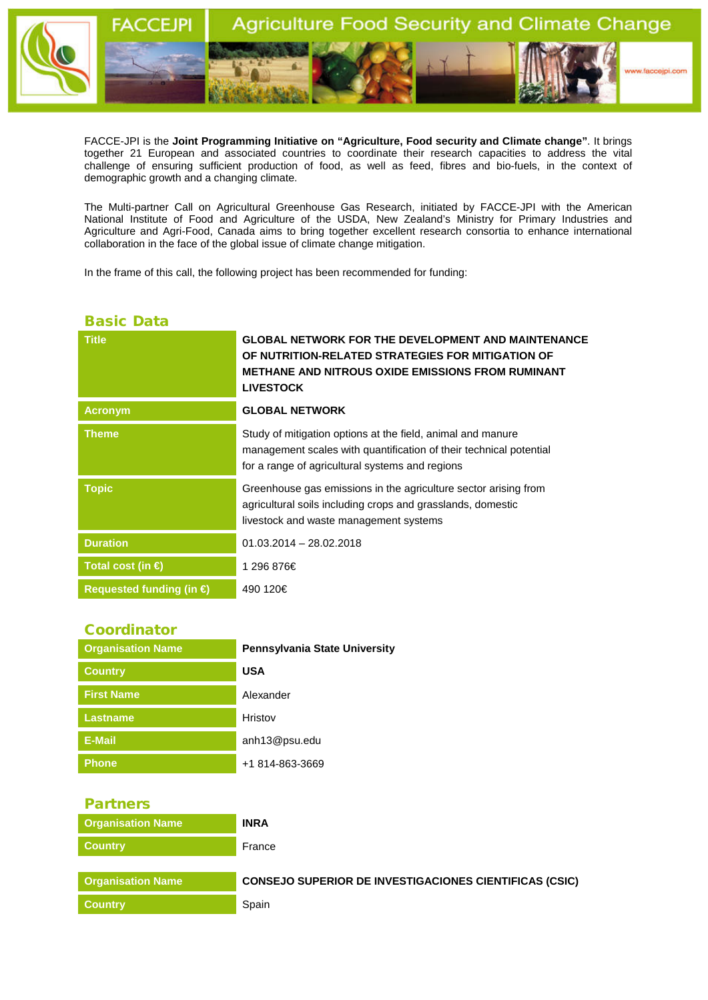

FACCE-JPI is the **Joint Programming Initiative on "Agriculture, Food security and Climate change"**. It brings together 21 European and associated countries to coordinate their research capacities to address the vital challenge of ensuring sufficient production of food, as well as feed, fibres and bio-fuels, in the context of demographic growth and a changing climate.

The Multi-partner Call on Agricultural Greenhouse Gas Research, initiated by FACCE-JPI with the American National Institute of Food and Agriculture of the USDA, New Zealand's Ministry for Primary Industries and Agriculture and Agri-Food, Canada aims to bring together excellent research consortia to enhance international collaboration in the face of the global issue of climate change mitigation.

In the frame of this call, the following project has been recommended for funding:

## Basic Data

| <b>Title</b>                   | <b>GLOBAL NETWORK FOR THE DEVELOPMENT AND MAINTENANCE</b><br>OF NUTRITION-RELATED STRATEGIES FOR MITIGATION OF<br><b>METHANE AND NITROUS OXIDE EMISSIONS FROM RUMINANT</b><br><b>LIVESTOCK</b> |
|--------------------------------|------------------------------------------------------------------------------------------------------------------------------------------------------------------------------------------------|
| <b>Acronym</b>                 | <b>GLOBAL NETWORK</b>                                                                                                                                                                          |
| <b>Theme</b>                   | Study of mitigation options at the field, animal and manure<br>management scales with quantification of their technical potential<br>for a range of agricultural systems and regions           |
| <b>Topic</b>                   | Greenhouse gas emissions in the agriculture sector arising from<br>agricultural soils including crops and grasslands, domestic<br>livestock and waste management systems                       |
| <b>Duration</b>                | $01.03.2014 - 28.02.2018$                                                                                                                                                                      |
| Total cost (in $\bigoplus$     | 1 296 876€                                                                                                                                                                                     |
| <b>Requested funding (in €</b> | 490 120€                                                                                                                                                                                       |

## Coordinator

| <b>Organisation Name</b> | Pennsylvania State University |
|--------------------------|-------------------------------|
| <b>Country</b>           | <b>USA</b>                    |
| <b>First Name</b>        | Alexander                     |
| <b>Lastname</b>          | Hristov                       |
| <b>E-Mail</b>            | anh13@psu.edu                 |
| Phone                    | +1 814-863-3669               |

## Partners

| <b>Organisation Name</b> | <b>INRA</b>                                                   |
|--------------------------|---------------------------------------------------------------|
| <b>Country</b>           | France                                                        |
|                          |                                                               |
| Organisation Name        | <b>CONSEJO SUPERIOR DE INVESTIGACIONES CIENTIFICAS (CSIC)</b> |
| <b>Country</b>           | Spain                                                         |